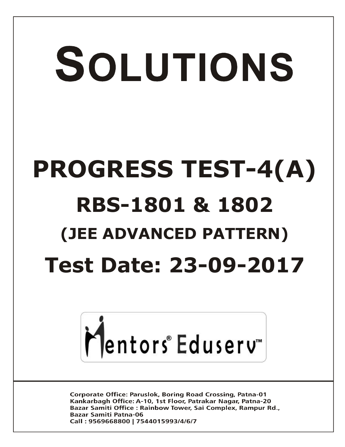# SOLUTIONS **PROGRESS TEST-4(A) RBS-1801 & 1802 (JEE ADVANCED PATTERN) Test Date: 23-09-2017**



**Corporate Office: Paruslok, Boring Road Crossing, Patna-01** Kankarbagh Office: A-10, 1st Floor, Patrakar Nagar, Patna-20 Bazar Samiti Office: Rainbow Tower, Sai Complex, Rampur Rd., **Bazar Samiti Patna-06** Call: 9569668800 | 7544015993/4/6/7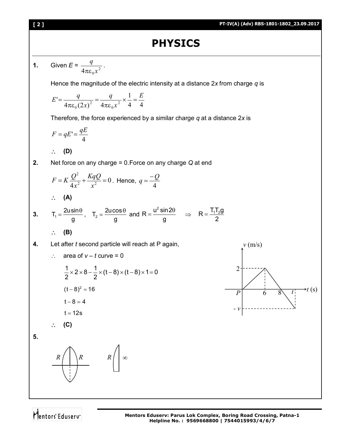# **PHYSICS**

1. Given 
$$
E = \frac{q}{4\pi\epsilon_0 x^2}
$$
.  
\nHence the magnitude of the electric intensity at a distance 2x from charge q is  
\n
$$
E' = \frac{q}{4\pi\epsilon_0 (2x)^2} = \frac{q}{4\pi\epsilon_0 x^2} \times \frac{1}{4} = \frac{E}{4}
$$
\nTherefore, the force experienced by a similar charge q at a distance 2x is  
\n
$$
F = qE' = \frac{qE}{4}
$$
\n
$$
\therefore \textbf{(D)}
$$
\n2. Net force on any charge = 0. Force on any charge Q at end  
\n
$$
F = K \frac{Q^2}{4x^2} + \frac{KqQ}{x^2} = 0. \text{ Hence, } q = \frac{-Q}{4}
$$
\n
$$
\therefore \textbf{(A)}
$$
\n3. T<sub>1</sub> =  $\frac{2u\cos\theta}{g}$  and R =  $\frac{u^2 \sin 2\theta}{g} \implies R = \frac{T_1T_2g}{2}$   
\n
$$
\therefore \textbf{(B)}
$$
\n4. Let after the second particle will reach at P again,  
\n
$$
\therefore \text{ area of } v - t \text{ curve} = 0
$$
\n
$$
\frac{1}{2} \times 2 \times 8 - \frac{1}{2} \times (t - 8) \times (t - 8) \times 1 = 0
$$
\n
$$
\frac{1}{2} \times 2 \times 8 - \frac{1}{2} \times (t - 8) \times (t - 8) \times 1 = 0
$$
\n
$$
\therefore \textbf{B}
$$
\n4. 1-12s  
\n
$$
\therefore \textbf{(C)}
$$
\n5.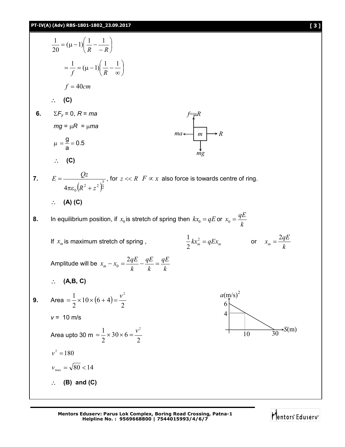

Mentors Eduserv<sup>®</sup>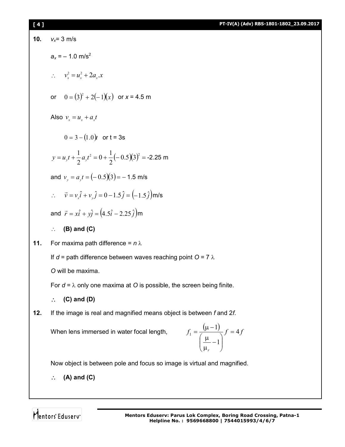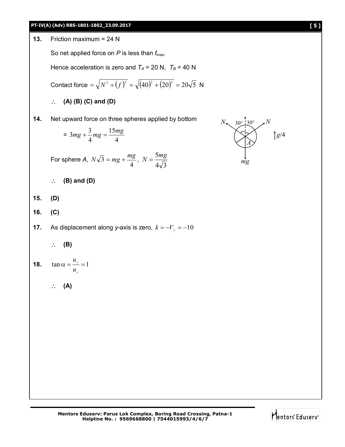



Mentors Eduserv<sup>®</sup>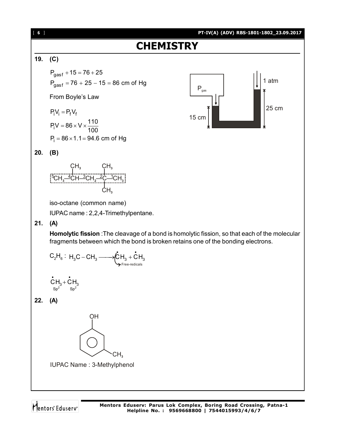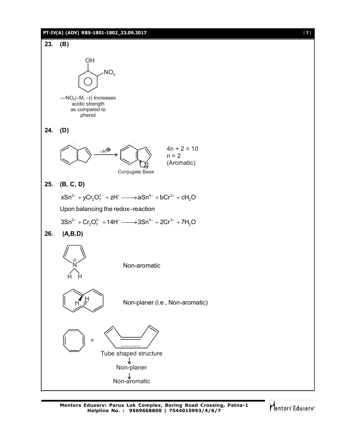

Mentors Eduserv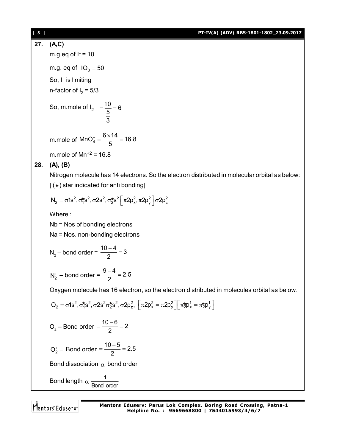### [ **8** ] **PT-IV(A) (ADV) RBS-1801-1802\_23.09.2017**

**27. (A,C)** m.g.eq of  $l = 10$ 

m.g. eq of  $IO_3^-=50$ 

So, I– is limiting n-factor of I $_{2}$  = 5/3

So, m.mole of I<sub>2</sub> = 
$$
\frac{10}{\frac{5}{3}} = 6
$$

m.mole of MnO<sub>4</sub> =  $\frac{6 \times 14}{5}$  = 16.8 5  $\frac{1}{4} = \frac{6 \times 14}{5} = 1$ 

m.mole of  $Mn^{+2} = 16.8$ 

## **28. (A), (B)**

Nitrogen molecule has 14 electrons. So the electron distributed in molecular orbital as below:  $[(\star)$  star indicated for anti bonding]

$$
N_2=\sigma 1s^2, \sigma_1^{\bigstar}s^2, \sigma 2s^2, \sigma_2^{\bigstar}s^2 \bigg[\pi 2p_x^2, \pi 2p_y^2 \bigg] \sigma 2p_z^2
$$

Where :

Nb = Nos of bonding electrons

Na = Nos. non-bonding electrons

$$
N_2
$$
 – bond order =  $\frac{10-4}{2} = 3$ 

$$
N_2^+
$$
 – bond order =  $\frac{9-4}{2}$  = 2.5

Oxygen molecule has 16 electron, so the electron distributed in molecules orbital as below.

$$
O_2 = \sigma 1s^2, \sigma_1^* s^2, \sigma 2s^2 \sigma_2^* s^2, \sigma 2p_z^2, \ \left[ \pi 2p_x^2 = \pi 2p_y^2 \right] \left[ \pi_2^* p_x^1 = \pi_2^* p_y^1 \right]
$$

$$
O_2 - \text{Bond order} = \frac{10 - 6}{2} = 2
$$

$$
O_2^+ - \text{ Bond order} = \frac{10 - 5}{2} = 2.5
$$

Bond dissociation  $\alpha$  bond order

Bond length 
$$
\alpha \frac{1}{\text{Bond order}}
$$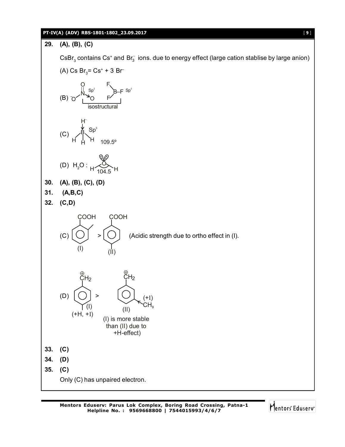### **PT-IV(A) (ADV) RBS-1801-1802\_23.09.2017** [ **9** ]



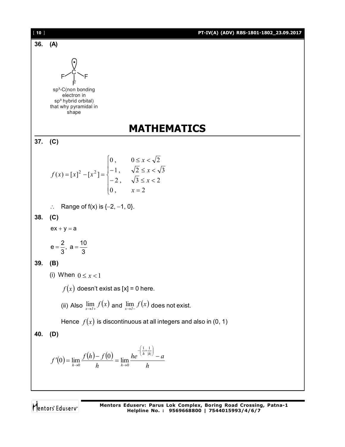| $[10]$ | PT-IV(A) (ADV) RBS-1801-1802_23.09.2017                                                                                                                |
|--------|--------------------------------------------------------------------------------------------------------------------------------------------------------|
| 36.    | (A)                                                                                                                                                    |
|        | sp <sup>3</sup> -C(non bonding<br>electron in<br>sp <sup>3</sup> hybrid orbital)<br>that why pyramidal in<br>shape                                     |
|        | <b>MATHEMATICS</b>                                                                                                                                     |
| 37.    | (C)                                                                                                                                                    |
|        | $f(x) = [x]^2 - [x^2] =\begin{cases} 0, & 0 \le x < \sqrt{2} \\ -1, & \sqrt{2} \le x < \sqrt{3} \\ -2, & \sqrt{3} \le x < 2 \\ 0, & x = 2 \end{cases}$ |
|        | Range of $f(x)$ is $\{-2, -1, 0\}$ .<br>$\ddot{\cdot}$                                                                                                 |
| 38.    | (C)                                                                                                                                                    |
|        | $ex + y = a$                                                                                                                                           |
|        | $e = \frac{2}{3}, a = \frac{10}{3}$                                                                                                                    |
| 39.    | (B)                                                                                                                                                    |
|        | (i) When $0 \leq x < 1$                                                                                                                                |
|        | $f(x)$ doesn't exist as [x] = 0 here.                                                                                                                  |
|        | (ii) Also $\lim_{x\to l+} f(x)$ and $\lim_{x\to l-} f(x)$ does not exist.                                                                              |
|        | Hence $f(x)$ is discontinuous at all integers and also in (0, 1)                                                                                       |
| 40.    | (D)                                                                                                                                                    |
|        | $f'(0) = \lim_{h\to 0} \frac{f(h)-f(0)}{h} = \lim_{h\to 0} \frac{he^{-\left(\frac{1}{h}+\frac{1}{ h }\right)}-a}{h}$                                   |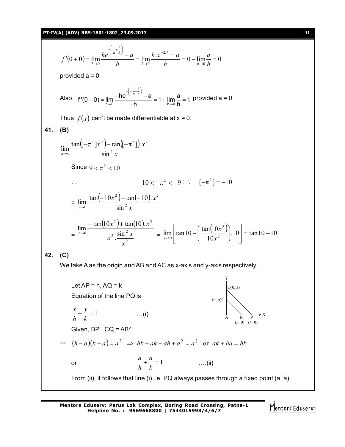**PT-IV(A) (ADV) RBS-1801-1802\_23.09.2017** [ **11** ]

$$
f'(0+0) = \lim_{h \to 0} \frac{he^{-\left(\frac{1}{h} + \frac{1}{h}\right)} - a}{h} = \lim_{h \to 0} \frac{h \cdot e^{-2/h} - a}{h} = 0 - \lim_{h \to 0} \frac{a}{h} = 0
$$
  
provided  $a = 0$   
Also,  $f'(0-0) = \lim_{h \to 0} \frac{-he^{-\left(-\frac{1}{h} + \frac{1}{h}\right)} - a}{-h} = 1 + \lim_{h \to 0} \frac{a}{h} = 1$ , provided  $a = 0$   
Thus  $f(x)$  can't be made differentiable at  $x = 0$ .  
  
41. **(B)**  

$$
\lim_{x \to 0} \frac{\tan(\left[-\pi^2 \right]x^2) - \tan(\left[-\pi^2 \right]) \cdot x^2}{\sin^2 x}
$$
  
Since  $9 < \pi^2 < 10$   
 $\therefore$   $-10 < -\pi^2 < -9$ ;  $\therefore$   $\left[-\pi^2\right] = -10$   
 $= \lim_{x \to 0} \frac{\tan(-10x^2) - \tan(-10) \cdot x^2}{\sin^2 x}$   
 $= \frac{\lim_{x \to 0} \frac{-\tan(10x^2) + \tan(10) \cdot x^2}{\sin^2 x} = \lim_{x \to 0} \left[\tan 10 - \left(\frac{\tan(10x^2)}{10x^2}\right) \cdot 10\right] = \tan 10 - 10$   
  
42. **(C)**  
We take A as the origin and AB and AC as x-axis and y-axis respectively.

A B P X  $Q(0, k)$ (0, *a*)C (*a,* 0) (*h,* 0) Let  $AP = h$ ,  $AQ = k$ Equation of the line PQ is  $+\frac{y}{1} = 1$ *k y h x* …(i) Given,  $BP \cdot CQ = AB^2$  $\Rightarrow$   $(h-a)(k-a) = a^2 \Rightarrow hk - ak - ah + a^2 = a^2$  or  $ak + ha = hk$ or  $\frac{a}{h} + \frac{a}{k} = 1$ *a h a* ….(ii) From (ii), it follows that line (i) i.e. PQ always passes through a fixed point (a, a).

Y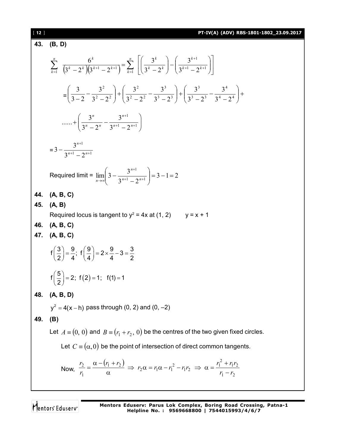### [ **12** ] **PT-IV(A) (ADV) RBS-1801-1802\_23.09.2017**

43. **(B, D)**  
\n
$$
\sum_{k=1}^{n} \frac{6^k}{(3^k - 2^k)(3^{k+1} - 2^{k+1})} = \sum_{k=1}^{n} \left[ \left( \frac{3^k}{3^k - 2^k} \right) - \left( \frac{3^{k+1}}{3^{k+1} - 2^{k+1}} \right) \right]
$$
\n
$$
= \left( \frac{3}{3 - 2} - \frac{3^2}{3^2 - 2^2} \right) + \left( \frac{3^2}{3^2 - 2^2} - \frac{3^3}{3^3 - 2^3} \right) + \left( \frac{3^3}{3^3 - 2^3} - \frac{3^4}{3^4 - 2^4} \right) + \dots + \left( \frac{3^n}{3^n - 2^n} - \frac{3^{n+1}}{3^{n+1} - 2^{n+1}} \right)
$$
\n
$$
= 3 - \frac{3^{n+1}}{3^{n+1} - 2^{n+1}}
$$
\nRequired limit =  $\lim_{n \to \infty} \left( 3 - \frac{3^{n+1}}{3^{n+1} - 2^{n+1}} \right) = 3 - 1 = 2$   
\n44. **(A, B, C)**  
\n45. **(A, B)**  
\nRequired locus is tangent to  $y^2 = 4x$  at (1, 2)  $y = x + 1$   
\n46. **(A, B, C)**  
\n47. **(A, B, C)**  
\n48. **(A, B, C)**  
\n49. **(B)**  
\n40. **(A, B, D)**  
\n $y^2 = 4(x - h)$  pass through (0, 2) and (0, -2)  
\n49. **(B)**  
\nLet  $A = (0, 0)$  and  $B = (r_1 + r_2, 0)$  be the centres of the two given fixed circles.  
\nLet  $C = (a, 0)$  be the point of intersection of direct common tangents.  
\nNow,  $\frac{r_2}{r_1} = \frac{\alpha - (r_1 + r_2)}{\alpha} \Rightarrow r_2 \alpha = r_1 \alpha - r_1^2 - r_1 r_2 \Rightarrow \alpha = \frac{r_1^2 + r_1 r_2}{r_1 - r_2}$ 

Mentors<sup>e</sup> Eduserv<sup>-</sup>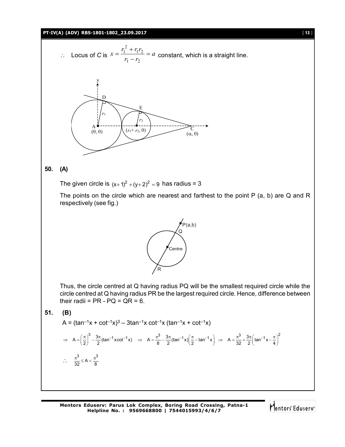### **PT-IV(A) (ADV) RBS-1801-1802\_23.09.2017** [ **13** ]

∴ Locus of *C* is 
$$
x = \frac{r_1^2 + r_1 r_2}{r_1 - r_2} = a
$$
 constant, which is a straight line.



### **50. (A)**

The given circle is  $(x + 1)^2 + (y + 2)^2 = 9$  has radius = 3

The points on the circle which are nearest and farthest to the point P (a, b) are Q and R respectively (see fig.)



Thus, the circle centred at Q having radius PQ will be the smallest required circle while the circle centred at Q having radius PR be the largest required circle. Hence, difference between their radii =  $PR - PQ = QR = 6$ .

$$
51. (B)
$$

$$
A = (\tan^{-1}x + \cot^{-1}x)^3 - 3\tan^{-1}x \cot^{-1}x (\tan^{-1}x + \cot^{-1}x)
$$

$$
\Rightarrow A = \left(\frac{\pi}{2}\right)^3 - \frac{3\pi}{2} (\tan^{-1} x \cot^{-1} x) \Rightarrow A = \frac{\pi^3}{8} - \frac{3\pi}{2} (\tan^{-1} x) \left(\frac{\pi}{2} - \tan^{-1} x\right) \Rightarrow A = \frac{\pi^3}{32} + \frac{3\pi}{2} \left(\tan^{-1} x - \frac{\pi}{4}\right)^2
$$
  
  $\therefore \frac{\pi^3}{32} \le A < \frac{\pi^3}{8}$ 

**Mentors Eduserv: Parus Lok Complex, Boring Road Crossing, Patna-1 Helpline No. : 9569668800 | 7544015993/4/6/7**